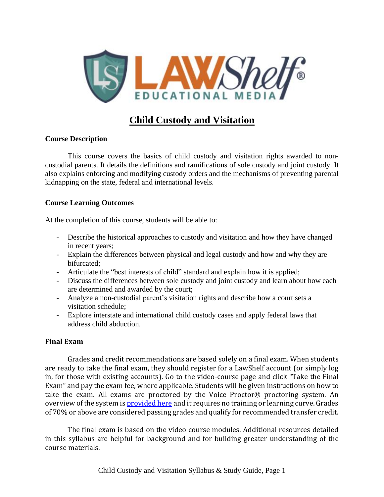

# **Child Custody and Visitation**

### **Course Description**

This course covers the basics of child custody and visitation rights awarded to noncustodial parents. It details the definitions and ramifications of sole custody and joint custody. It also explains enforcing and modifying custody orders and the mechanisms of preventing parental kidnapping on the state, federal and international levels.

### **Course Learning Outcomes**

At the completion of this course, students will be able to:

- Describe the historical approaches to custody and visitation and how they have changed in recent years;
- Explain the differences between physical and legal custody and how and why they are bifurcated;
- Articulate the "best interests of child" standard and explain how it is applied;
- Discuss the differences between sole custody and joint custody and learn about how each are determined and awarded by the court;
- Analyze a non-custodial parent's visitation rights and describe how a court sets a visitation schedule;
- Explore interstate and international child custody cases and apply federal laws that address child abduction.

### **Final Exam**

Grades and credit recommendations are based solely on a final exam. When students are ready to take the final exam, they should register for a LawShelf account (or simply log in, for those with existing accounts). Go to the video-course page and click "Take the Final Exam" and pay the exam fee, where applicable. Students will be given instructions on how to take the exam. All exams are proctored by the Voice Proctor® proctoring system. An overview of the system is **[provided](https://lawshelf.com/voiceproctorvideo) here** and it requires no training or learning curve. Grades of 70% or above are considered passing grades and qualify for recommended transfer credit.

The final exam is based on the video course modules. Additional resources detailed in this syllabus are helpful for background and for building greater understanding of the course materials.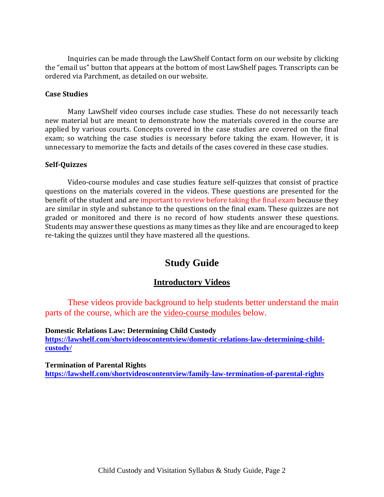Inquiries can be made through the LawShelf Contact form on our website by clicking the "email us" button that appears at the bottom of most LawShelf pages. Transcripts can be ordered via Parchment, as detailed on our website.

#### **Case Studies**

Many LawShelf video courses include case studies. These do not necessarily teach new material but are meant to demonstrate how the materials covered in the course are applied by various courts. Concepts covered in the case studies are covered on the final exam; so watching the case studies is necessary before taking the exam. However, it is unnecessary to memorize the facts and details of the cases covered in these case studies.

#### **Self-Quizzes**

Video-course modules and case studies feature self-quizzes that consist of practice questions on the materials covered in the videos. These questions are presented for the benefit of the student and are important to review before taking the final exam because they are similar in style and substance to the questions on the final exam. These quizzes are not graded or monitored and there is no record of how students answer these questions. Students may answer these questions as many times as they like and are encouraged to keep re-taking the quizzes until they have mastered all the questions.

# **Study Guide**

### **Introductory Videos**

These videos provide background to help students better understand the main parts of the course, which are the video-course modules below.

**Domestic Relations Law: Determining Child Custody [https://lawshelf.com/shortvideoscontentview/domestic-relations-law-determining-child](https://lawshelf.com/shortvideoscontentview/domestic-relations-law-determining-child-custody/)[custody/](https://lawshelf.com/shortvideoscontentview/domestic-relations-law-determining-child-custody/)**

**Termination of Parental Rights <https://lawshelf.com/shortvideoscontentview/family-law-termination-of-parental-rights>**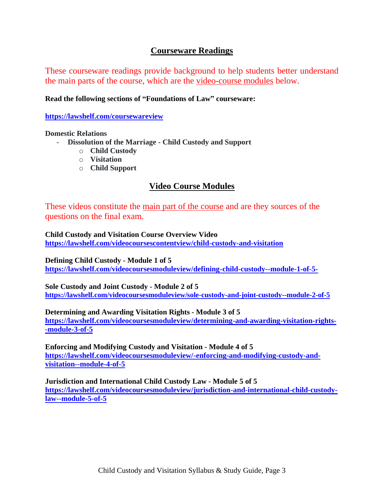# **Courseware Readings**

These courseware readings provide background to help students better understand the main parts of the course, which are the video-course modules below.

### **Read the following sections of "Foundations of Law" courseware:**

**<https://lawshelf.com/coursewareview>**

#### **Domestic Relations**

- **Dissolution of the Marriage - Child Custody and Support**
	- o **Child Custody**
	- o **Visitation**
	- o **Child Support**

# **Video Course Modules**

These videos constitute the <u>main part of the course</u> and are they sources of the questions on the final exam.

**Child Custody and Visitation Course Overview Video <https://lawshelf.com/videocoursescontentview/child-custody-and-visitation>**

**Defining Child Custody - Module 1 of 5 <https://lawshelf.com/videocoursesmoduleview/defining-child-custody--module-1-of-5->**

**Sole Custody and Joint Custody - Module 2 of 5 <https://lawshelf.com/videocoursesmoduleview/sole-custody-and-joint-custody--module-2-of-5>**

### **Determining and Awarding Visitation Rights - Module 3 of 5**

**[https://lawshelf.com/videocoursesmoduleview/determining-and-awarding-visitation-rights-](https://lawshelf.com/videocoursesmoduleview/determining-and-awarding-visitation-rights--module-3-of-5) [-module-3-of-5](https://lawshelf.com/videocoursesmoduleview/determining-and-awarding-visitation-rights--module-3-of-5)**

**Enforcing and Modifying Custody and Visitation - Module 4 of 5 [https://lawshelf.com/videocoursesmoduleview/-enforcing-and-modifying-custody-and](https://lawshelf.com/videocoursesmoduleview/-enforcing-and-modifying-custody-and-visitation--module-4-of-5)[visitation--module-4-of-5](https://lawshelf.com/videocoursesmoduleview/-enforcing-and-modifying-custody-and-visitation--module-4-of-5)**

**Jurisdiction and International Child Custody Law - Module 5 of 5 [https://lawshelf.com/videocoursesmoduleview/jurisdiction-and-international-child-custody](https://lawshelf.com/videocoursesmoduleview/jurisdiction-and-international-child-custody-law--module-5-of-5)[law--module-5-of-5](https://lawshelf.com/videocoursesmoduleview/jurisdiction-and-international-child-custody-law--module-5-of-5)**